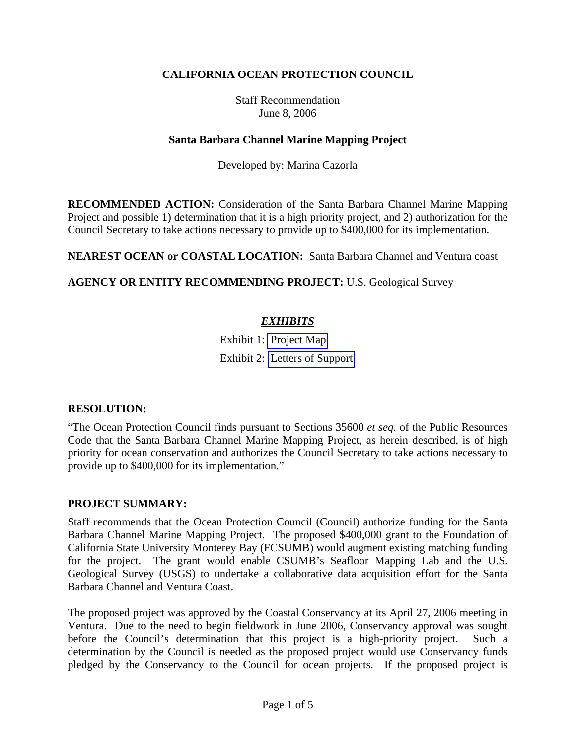# **CALIFORNIA OCEAN PROTECTION COUNCIL**

Staff Recommendation June 8, 2006

### **Santa Barbara Channel Marine Mapping Project**

Developed by: Marina Cazorla

**RECOMMENDED ACTION:** Consideration of the Santa Barbara Channel Marine Mapping Project and possible 1) determination that it is a high priority project, and 2) authorization for the Council Secretary to take actions necessary to provide up to \$400,000 for its implementation.

**NEAREST OCEAN or COASTAL LOCATION:** Santa Barbara Channel and Ventura coast

**AGENCY OR ENTITY RECOMMENDING PROJECT:** U.S. Geological Survey

# *EXHIBITS*

Exhibit 1: Project Map Exhibit 2: Letters of Support

### **RESOLUTION:**

"The Ocean Protection Council finds pursuant to Sections 35600 *et seq.* of the Public Resources Code that the Santa Barbara Channel Marine Mapping Project, as herein described, is of high priority for ocean conservation and authorizes the Council Secretary to take actions necessary to provide up to \$400,000 for its implementation."

#### **PROJECT SUMMARY:**

Staff recommends that the Ocean Protection Council (Council) authorize funding for the Santa Barbara Channel Marine Mapping Project. The proposed \$400,000 grant to the Foundation of California State University Monterey Bay (FCSUMB) would augment existing matching funding for the project. The grant would enable CSUMB's Seafloor Mapping Lab and the U.S. Geological Survey (USGS) to undertake a collaborative data acquisition effort for the Santa Barbara Channel and Ventura Coast.

The proposed project was approved by the Coastal Conservancy at its April 27, 2006 meeting in Ventura. Due to the need to begin fieldwork in June 2006, Conservancy approval was sought before the Council's determination that this project is a high-priority project. Such a determination by the Council is needed as the proposed project would use Conservancy funds pledged by the Conservancy to the Council for ocean projects. If the proposed project is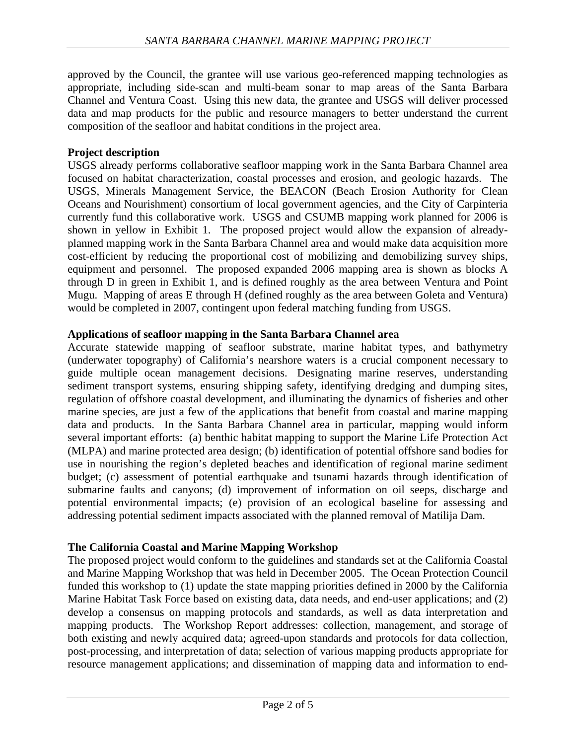approved by the Council, the grantee will use various geo-referenced mapping technologies as appropriate, including side-scan and multi-beam sonar to map areas of the Santa Barbara Channel and Ventura Coast. Using this new data, the grantee and USGS will deliver processed data and map products for the public and resource managers to better understand the current composition of the seafloor and habitat conditions in the project area.

### **Project description**

USGS already performs collaborative seafloor mapping work in the Santa Barbara Channel area focused on habitat characterization, coastal processes and erosion, and geologic hazards. The USGS, Minerals Management Service, the BEACON (Beach Erosion Authority for Clean Oceans and Nourishment) consortium of local government agencies, and the City of Carpinteria currently fund this collaborative work. USGS and CSUMB mapping work planned for 2006 is shown in yellow in Exhibit 1. The proposed project would allow the expansion of alreadyplanned mapping work in the Santa Barbara Channel area and would make data acquisition more cost-efficient by reducing the proportional cost of mobilizing and demobilizing survey ships, equipment and personnel. The proposed expanded 2006 mapping area is shown as blocks A through D in green in Exhibit 1, and is defined roughly as the area between Ventura and Point Mugu. Mapping of areas E through H (defined roughly as the area between Goleta and Ventura) would be completed in 2007, contingent upon federal matching funding from USGS.

### **Applications of seafloor mapping in the Santa Barbara Channel area**

Accurate statewide mapping of seafloor substrate, marine habitat types, and bathymetry (underwater topography) of California's nearshore waters is a crucial component necessary to guide multiple ocean management decisions. Designating marine reserves, understanding sediment transport systems, ensuring shipping safety, identifying dredging and dumping sites, regulation of offshore coastal development, and illuminating the dynamics of fisheries and other marine species, are just a few of the applications that benefit from coastal and marine mapping data and products. In the Santa Barbara Channel area in particular, mapping would inform several important efforts: (a) benthic habitat mapping to support the Marine Life Protection Act (MLPA) and marine protected area design; (b) identification of potential offshore sand bodies for use in nourishing the region's depleted beaches and identification of regional marine sediment budget; (c) assessment of potential earthquake and tsunami hazards through identification of submarine faults and canyons; (d) improvement of information on oil seeps, discharge and potential environmental impacts; (e) provision of an ecological baseline for assessing and addressing potential sediment impacts associated with the planned removal of Matilija Dam.

# **The California Coastal and Marine Mapping Workshop**

The proposed project would conform to the guidelines and standards set at the California Coastal and Marine Mapping Workshop that was held in December 2005. The Ocean Protection Council funded this workshop to (1) update the state mapping priorities defined in 2000 by the California Marine Habitat Task Force based on existing data, data needs, and end-user applications; and (2) develop a consensus on mapping protocols and standards, as well as data interpretation and mapping products. The Workshop Report addresses: collection, management, and storage of both existing and newly acquired data; agreed-upon standards and protocols for data collection, post-processing, and interpretation of data; selection of various mapping products appropriate for resource management applications; and dissemination of mapping data and information to end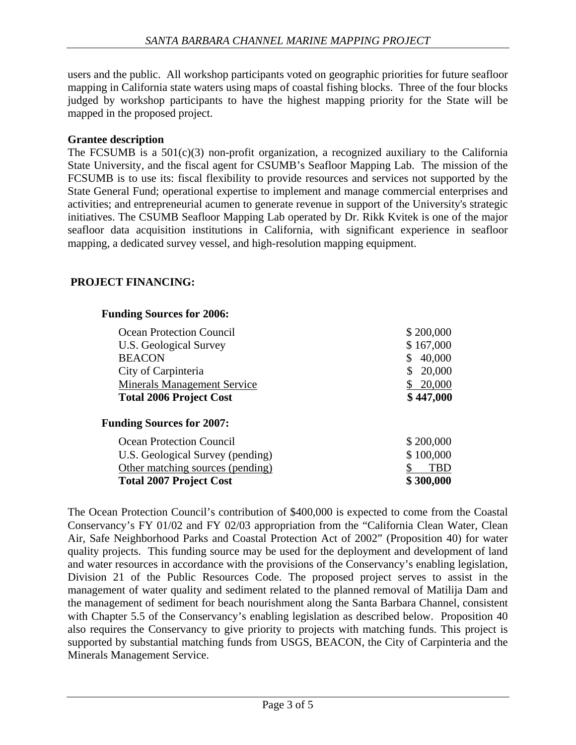users and the public. All workshop participants voted on geographic priorities for future seafloor mapping in California state waters using maps of coastal fishing blocks. Three of the four blocks judged by workshop participants to have the highest mapping priority for the State will be mapped in the proposed project.

### **Grantee description**

The FCSUMB is a  $501(c)(3)$  non-profit organization, a recognized auxiliary to the California State University, and the fiscal agent for CSUMB's Seafloor Mapping Lab. The mission of the FCSUMB is to use its: fiscal flexibility to provide resources and services not supported by the State General Fund; operational expertise to implement and manage commercial enterprises and activities; and entrepreneurial acumen to generate revenue in support of the University's strategic initiatives. The CSUMB Seafloor Mapping Lab operated by Dr. Rikk Kvitek is one of the major seafloor data acquisition institutions in California, with significant experience in seafloor mapping, a dedicated survey vessel, and high-resolution mapping equipment.

### **PROJECT FINANCING:**

#### **Funding Sources for 2006:**

| Ocean Protection Council<br>U.S. Geological Survey<br><b>BEACON</b><br>City of Carpinteria<br><b>Minerals Management Service</b> | \$200,000<br>\$167,000<br>40,000<br>20,000<br>20,000 |
|----------------------------------------------------------------------------------------------------------------------------------|------------------------------------------------------|
| <b>Total 2006 Project Cost</b>                                                                                                   | \$447,000                                            |
| <b>Funding Sources for 2007:</b>                                                                                                 |                                                      |
| Ocean Protection Council                                                                                                         | \$200,000                                            |
| U.S. Geological Survey (pending)                                                                                                 | \$100,000                                            |
| Other matching sources (pending)                                                                                                 | <b>TBD</b>                                           |
| <b>Total 2007 Project Cost</b>                                                                                                   | \$300,000                                            |

The Ocean Protection Council's contribution of \$400,000 is expected to come from the Coastal Conservancy's FY 01/02 and FY 02/03 appropriation from the "California Clean Water, Clean Air, Safe Neighborhood Parks and Coastal Protection Act of 2002" (Proposition 40) for water quality projects. This funding source may be used for the deployment and development of land and water resources in accordance with the provisions of the Conservancy's enabling legislation, Division 21 of the Public Resources Code. The proposed project serves to assist in the management of water quality and sediment related to the planned removal of Matilija Dam and the management of sediment for beach nourishment along the Santa Barbara Channel, consistent with Chapter 5.5 of the Conservancy's enabling legislation as described below. Proposition 40 also requires the Conservancy to give priority to projects with matching funds. This project is supported by substantial matching funds from USGS, BEACON, the City of Carpinteria and the Minerals Management Service.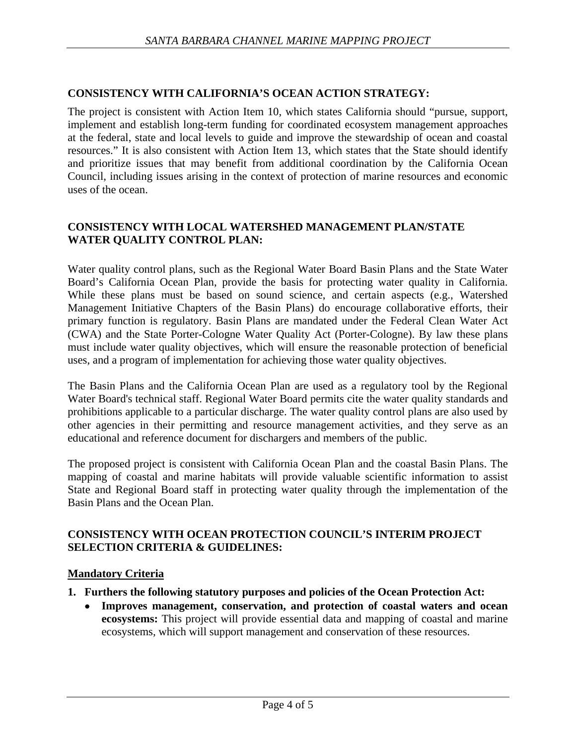### **CONSISTENCY WITH CALIFORNIA'S OCEAN ACTION STRATEGY:**

The project is consistent with Action Item 10, which states California should "pursue, support, implement and establish long-term funding for coordinated ecosystem management approaches at the federal, state and local levels to guide and improve the stewardship of ocean and coastal resources." It is also consistent with Action Item 13, which states that the State should identify and prioritize issues that may benefit from additional coordination by the California Ocean Council, including issues arising in the context of protection of marine resources and economic uses of the ocean.

#### **CONSISTENCY WITH LOCAL WATERSHED MANAGEMENT PLAN/STATE WATER QUALITY CONTROL PLAN:**

Water quality control plans, such as the Regional Water Board Basin Plans and the State Water Board's California Ocean Plan, provide the basis for protecting water quality in California. While these plans must be based on sound science, and certain aspects (e.g., Watershed Management Initiative Chapters of the Basin Plans) do encourage collaborative efforts, their primary function is regulatory. Basin Plans are mandated under the Federal Clean Water Act (CWA) and the State Porter-Cologne Water Quality Act (Porter-Cologne). By law these plans must include water quality objectives, which will ensure the reasonable protection of beneficial uses, and a program of implementation for achieving those water quality objectives.

The Basin Plans and the California Ocean Plan are used as a regulatory tool by the Regional Water Board's technical staff. Regional Water Board permits cite the water quality standards and prohibitions applicable to a particular discharge. The water quality control plans are also used by other agencies in their permitting and resource management activities, and they serve as an educational and reference document for dischargers and members of the public.

The proposed project is consistent with California Ocean Plan and the coastal Basin Plans. The mapping of coastal and marine habitats will provide valuable scientific information to assist State and Regional Board staff in protecting water quality through the implementation of the Basin Plans and the Ocean Plan.

#### **CONSISTENCY WITH OCEAN PROTECTION COUNCIL'S INTERIM PROJECT SELECTION CRITERIA & GUIDELINES:**

#### **Mandatory Criteria**

- **1. Furthers the following statutory purposes and policies of the Ocean Protection Act:**
	- **Improves management, conservation, and protection of coastal waters and ocean ecosystems:** This project will provide essential data and mapping of coastal and marine ecosystems, which will support management and conservation of these resources.